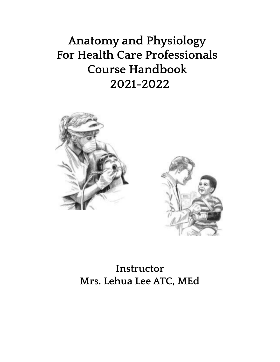**Anatomy and Physiology For Health Care Professionals Course Handbook 2021-2022**





**Instructor Mrs. Lehua Lee ATC, MEd**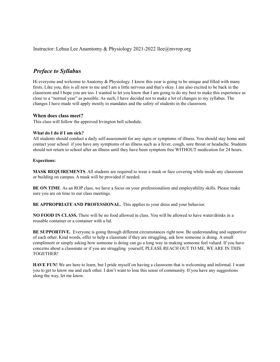Instructor: Lehua Lee Anamtomy & Physiology 2021-2022 llee@mvrop.org

### *Preface to Syllabus*

Hi everyone and welcome to Anatomy & Physiology. I know this year is going to be unique and filled with many firsts. Like you, this is all new to me and I am a little nervous and that's okay. I am also excited to be back in the classroom and I hope you are too. I wanted to let you know that I am going to do my best to make this experience as close to a "normal year" as possible. As such, I have decided not to make a lot of changes to my syllabus. The changes I have made will apply mostly to mandates and the safety of students in the classroom.

#### **When does class meet?**

This class will follow the approved Irvington bell schedule.

#### **What do I do if I am sick?**

All students should conduct a daily self-assessment for any signs or symptoms of illness. You should stay home and contact your school if you have any symptoms of an illness such as a fever, cough, sore throat or headache. Students should not return to school after an illness until they have been symptom free WITHOUT medication for 24 hours.

#### **Expections:**

**MASK REQUIREMENTS**. All students are required to wear a mask or face covering while inside any classroom or building on campus. A mask will be provided if needed.

**BE ON TIME**. As an ROP class, we have a focus on your professionalism and employability skills. Please make sure you are on time to our class meetings.

**BE APPROPRIATE AND PROFESSIONAL.** This applies to your dress and your behavior.

**NO FOOD IN CLASS.** There will be no food allowed in class. You will be allowed to have water/drinks in a reusable container or a container with a lid.

**BE SUPPORTIVE.** Everyone is going through different circumstances right now. Be understanding and supportive of each other. Kind words, offer to help a classmate if they are struggling, ask how someone is doing. A small compliment or simply asking how someone is doing can go a long way in making someone feel valued. If you have concerns about a classmate or if you are struggling yourself, PLEASE REACH OUT TO ME, WE ARE IN THIS TOGETHER!

**HAVE FUN!** We are here to learn, but I pride myself on having a classroom that is welcoming and informal. I want you to get to know me and each other. I don't want to lose this sense of community. If you have any suggestions along the way, let me know.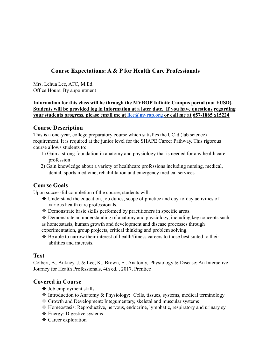# **Course Expectations: A & P for Health Care Professionals**

Mrs. Lehua Lee, ATC, M.Ed. Office Hours: By appointment

**Information for this class will be through the MVROP Infinite Campus portal (not FUSD). Students will be provided log in information at a later date. If you have questions regarding your students progress, please email me at llee@mvrop.org or call me at 657-1865 x15224**

## **Course Description**

This is a one-year, college preparatory course which satisfies the UC-d (lab science) requirement. It is required at the junior level for the SHAPE Career Pathway. This rigorous course allows students to:

- 1) Gain a strong foundation in anatomy and physiology that is needed for any health care profession
- 2) Gain knowledge about a variety of healthcare professions including nursing, medical, dental, sports medicine, rehabilitation and emergency medical services

# **Course Goals**

Upon successful completion of the course, students will:

- ❖ Understand the education, job duties, scope of practice and day-to-day activities of various health care professionals.
- ❖ Demonstrate basic skills performed by practitioners in specific areas.
- ❖ Demonstrate an understanding of anatomy and physiology, including key concepts such as homeostasis, human growth and development and disease processes through

experimentation, group projects, critical thinking and problem solving.

❖ Be able to narrow their interest of health/fitness careers to those best suited to their abilities and interests.

## **Text**

Colbert, B., Ankney, J. & Lee, K., Brown, E.. Anatomy, Physiology & Disease: An Interactive Journey for Health Professionals, 4th ed. , 2017, Prentice

## **Covered in Course**

- ❖ Job employment skills
- ❖ Introduction to Anatomy & Physiology: Cells, tissues, systems, medical terminology
- ❖ Growth and Development: Integumentary, skeletal and muscular systems
- ❖ Homeostasis: Reproductive, nervous, endocrine, lymphatic, respiratory and urinary sy
- ❖ Energy: Digestive systems
- ❖ Career exploration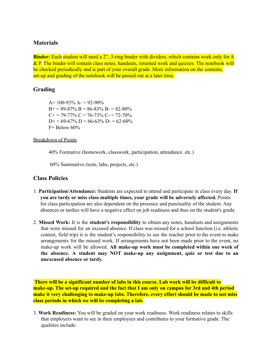## **Materials**

**Binder:** Each student will need a 2", 3-ring binder with dividers, which contains work only for A  $\&$  P. The binder will contain class notes, handouts, returned work and quizzes. The notebook will be checked periodically and is part of your overall grade. More information on the contents, set-up and grading of the notebook will be passed out at a later time.

## **Grading**

 $A= 100-93\% A = 92-90\%$  $B+= 89-87\% B = 86-83\% B = 82-80\%$  $C_{+}$  = 79-77%  $C = 76$ -73%  $C_{-}$  = 72-70%  $D+= 69-67\%$  D = 66-63% D = 62-60%  $F =$  Below 60%

#### Breakdown of Points

40% Formative (homework, classwork, participation, attendance. etc.)

60% Summative (tests, labs, projects, etc.)

### **Class Policies**

- 1. **Participation/Attendance:** Students are expected to attend and participate in class every day. **If you are tardy or miss class multiple times, your grade will be adversely affected.** Points for class participation are also dependent on the presence and punctuality of the student. Any absences or tardies will have a negative effect on job readiness and thus on the student's grade.
- 2. **Missed Work:** It is the **student's responsibility** to obtain any notes, handouts and assignments that were missed for an excused absence. If class was missed for a school function (i.e. athletic contest, field trip) it is the student's responsibility to see the teacher prior to the event to make arrangements for the missed work. If arrangements have not been made prior to the event, no make-up work will be allowed. **All make-up work must be completed within one week of the absence. A student may NOT make-up any assignment, quiz or test due to an unexcused absence or tardy.**

**There will be a significant number of labs in this course. Lab work will be difficult to make-up. The set-up required and the fact that I am only on campus for 3rd and 4th period make it very challenging to make-up labs. Therefore, every effort should be made to not miss class periods in which we will be completing a lab.**

3. **Work Readiness:** You will be graded on your work readiness. Work readiness relates to skills that employers want to see in their employees and contributes to your formative grade. The qualities include: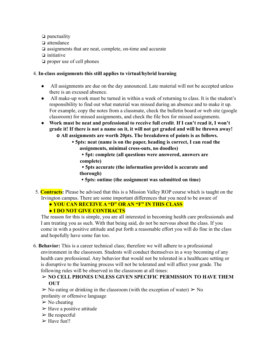❏ punctuality ❏ attendance ❏ assignments that are neat, complete, on-time and accurate ❏ initiative ❏ proper use of cell phones

#### 4. **In-class assignments this still applies to virtual/hybrid learning**

- All assignments are due on the day announced. Late material will not be accepted unless there is an excused absence.
- All make-up work must be turned in within a week of returning to class. It is the student's responsibility to find out what material was missed during an absence and to make it up. For example, copy the notes from a classmate, check the bulletin board or web site (google classroom) for missed assignments, and check the file box for missed assignments.
- **Work must be neat and professional to receive full credit**. **If I can't read it, I won't** grade it! If there is not a name on it, it will not get graded and will be thrown away! **o All assignments are worth 20pts. The breakdown of points is as follows.**
	- **▪ 5pts: neat (name is on the paper, heading is correct, I can read the assignments, minimal cross-outs, no doodles)**

**▪ 5pt: complete (all questions were answered, answers are complete)**

**▪ 5pts accurate (the information provided is accurate and thorough)**

- **▪ 5pts: ontime (the assignment was submitted on time)**
- 5. **Contracts:** Please be advised that this is a Mission Valley ROP course which is taught on the Irvington campus. There are some important differences that you need to be aware of

● **YOU CAN RECEIVE A "D" OR AN "F" IN THIS CLASS**

● **I DO NOT GIVE CONTRACTS**

The reason for this is simple, you are all interested in becoming health care professionals and I am treating you as such. With that being said, do not be nervous about the class. If you come in with a positive attitude and put forth a reasonable effort you will do fine in the class and hopefully have some fun too.

6. **Behavior:** This is a career technical class; therefore we will adhere to a professional environment in the classroom. Students will conduct themselves in a way becoming of any health care professional. Any behavior that would not be tolerated in a healthcare setting or is disruptive to the learning process will not be tolerated and will affect your grade. The following rules will be observed in the classroom at all times:

### ➢ **NO CELL PHONES UNLESS GIVEN SPECIFIC PERMISSION TO HAVE THEM OUT**

 $\triangleright$  No eating or drinking in the classroom (with the exception of water)  $\triangleright$  No profanity or offensive language

- $\triangleright$  No cheating
- $\triangleright$  Have a positive attitude
- $\triangleright$  Be respectful
- $\triangleright$  Have fun!!